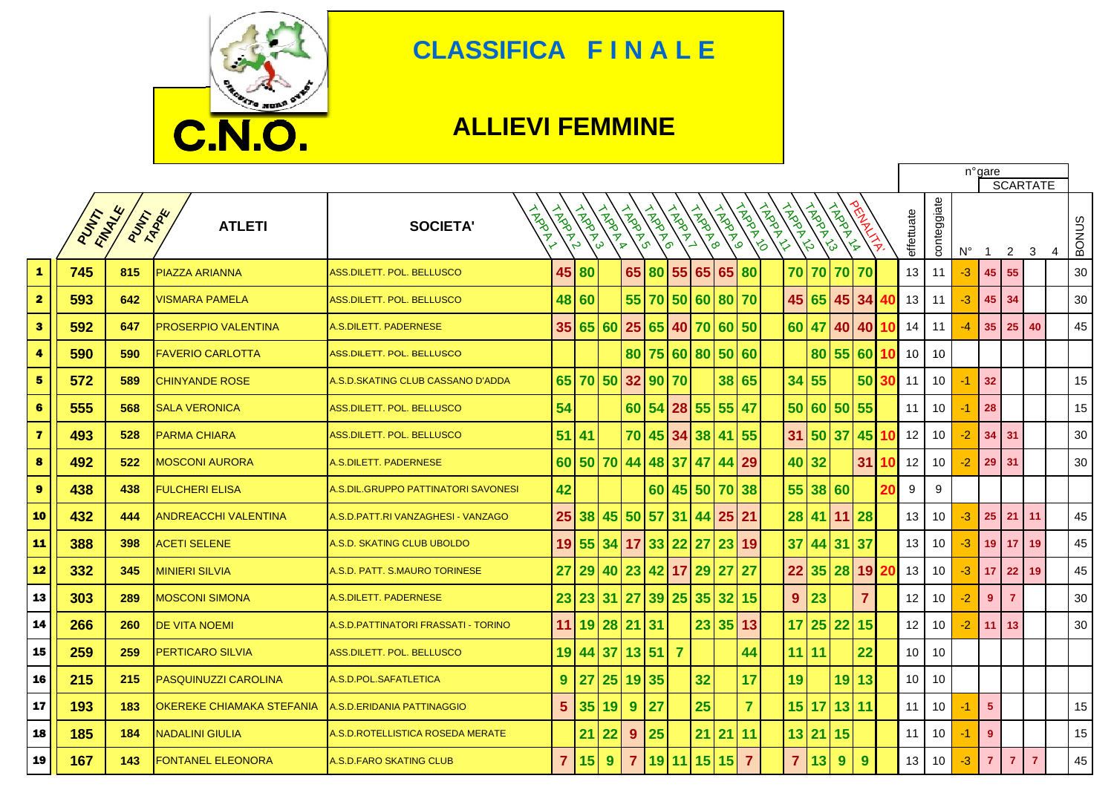

## **CLASSIFICA F I N A L E**

## **ALLIEVI FEMMINE**

 $\Gamma$ 

|                         |      |                          |                                  |                                     |                         |        |                    |                |          |                     |                   |                   | n°gare<br><b>SCARTATE</b> |                          |                        |              |                |  |                 |             |             |                |                 |                |                |              |
|-------------------------|------|--------------------------|----------------------------------|-------------------------------------|-------------------------|--------|--------------------|----------------|----------|---------------------|-------------------|-------------------|---------------------------|--------------------------|------------------------|--------------|----------------|--|-----------------|-------------|-------------|----------------|-----------------|----------------|----------------|--------------|
|                         | PUNT | FINANCE<br><b>PUTARE</b> | <b>ATLETI</b>                    | <b>LAPOR</b><br><b>SOCIETA'</b>     | <b>HARANT</b>           | HARD A | <b>INDOX</b><br>ဖြ | A MARYO        | LAPOR    | <b>ARDINA</b><br>່ຈ | <b>ARDER</b><br>→ | <b>TROOP</b><br>စ | <b>HARD</b>               | <b>TADAT</b><br>$\delta$ | TARGALLY<br>LAPPER AVE | <b>HARRY</b> |                |  | effettuate      | conteggiate | $N^{\circ}$ | $\overline{1}$ | 2               | 3              | $\overline{4}$ | <b>BONUS</b> |
| 1                       | 745  | 815                      | PIAZZA ARIANNA                   | <b>ASS.DILETT. POL. BELLUSCO</b>    | 45                      | 80     |                    | 65             |          | 80 55               |                   | 65 65             | 80                        |                          | 70 70                  | 70 70        |                |  | 13              | 11          | $-3$        | 45             | 55              |                |                | 30           |
| $\overline{\mathbf{2}}$ | 593  | 642                      | <b>VISMARA PAMELA</b>            | ASS.DILETT. POL. BELLUSCO           |                         | 48 60  |                    | 55             |          | 70 50               |                   | 60 80 70          |                           |                          | 45 65                  |              | 45 34          |  | 13              | 11          | -3          | 45             | 34              |                |                | 30           |
| $\mathbf{3}$            | 592  | 647                      | <b>PROSERPIO VALENTINA</b>       | A.S.DILETT. PADERNESE               | 35 <sub>1</sub>         |        | 65 60              | 25             |          | 65 40               | 70                |                   | 60 50                     |                          | 60 47                  |              | 40 40          |  | 14              | 11          | -4          | 35             | 25              | 40             |                | 45           |
| 4                       | 590  | 590                      | <b>FAVERIO CARLOTTA</b>          | ASS.DILETT. POL. BELLUSCO           |                         |        |                    |                |          |                     | 80 75 60 80 50 60 |                   |                           |                          | 80                     | 55 60        |                |  | 10              | 10          |             |                |                 |                |                |              |
| 5                       | 572  | 589                      | <b>CHINYANDE ROSE</b>            | A.S.D.SKATING CLUB CASSANO D'ADDA   |                         |        | 65 70 50 32 90 70  |                |          |                     |                   |                   | 38 65                     |                          | 34 55                  |              | 50             |  | 11              | 10          | -1          | 32             |                 |                |                | 15           |
| $6\phantom{1}$          | 555  | 568                      | <b>SALA VERONICA</b>             | ASS.DILETT. POL. BELLUSCO           | 54                      |        |                    |                | 60 54 28 |                     | 55                | 55 47             |                           |                          | 50 60 50               |              | 55             |  | 11              | 10          | -1          | 28             |                 |                |                | 15           |
| $\overline{\mathbf{z}}$ | 493  | 528                      | <b>PARMA CHIARA</b>              | ASS.DILETT. POL. BELLUSCO           | 51                      | 41     |                    | 70             |          | 45 34               | 38                | 41                | 55                        |                          | 31 50                  | 37           | 45             |  | 12              | 10          | $-2$        | 34             | 31              |                |                | 30           |
| 8                       | 492  | 522                      | <b>MOSCONI AURORA</b>            | A.S.DILETT. PADERNESE               | 60                      |        | 50 70              | 44             |          | 48 37               | 47                |                   | 44 29                     |                          | 40 32                  |              | 31             |  | 12              | 10          | $-2$        | 29             | 31              |                |                | 30           |
| $\boldsymbol{9}$        | 438  | 438                      | <b>FULCHERI ELISA</b>            | A.S.DIL.GRUPPO PATTINATORI SAVONESI | 42                      |        |                    |                |          | 60 45               |                   | 50 70 38          |                           |                          | 55 38 60               |              |                |  | 9               | 9           |             |                |                 |                |                |              |
| 10                      | 432  | 444                      | <b>ANDREACCHI VALENTINA</b>      | A.S.D.PATT.RI VANZAGHESI - VANZAGO  | 25                      | 38     | 45                 | 50             | 57 31    |                     | 44                | 25                | 21                        |                          | 28 41 11 28            |              |                |  | 13              | 10          | -3          | 25             | 21              | 11             |                | 45           |
| $11$                    | 388  | 398                      | <b>ACETI SELENE</b>              | A.S.D. SKATING CLUB UBOLDO          | 19                      | 55     | 34 17              |                | 33 22    |                     | 27                | 23                | <b>19</b>                 |                          | $37   44$              | 31 37        |                |  | 13              | 10          | $-3$        | 19             | 17 <sub>2</sub> | 19             |                | 45           |
| 12                      | 332  | 345                      | <b>MINIERI SILVIA</b>            | A.S.D. PATT. S.MAURO TORINESE       | 27                      | 29     | 40                 | 23             | 42 17    |                     | 29                | 27                | 27                        | 22                       | 35                     | 28           | <b>19</b>      |  | 13              | 10          | $-3$        | 17             | 22 <sub>2</sub> | 19             |                | 45           |
| 13                      | 303  | 289                      | <b>MOSCONI SIMONA</b>            | A.S.DILETT. PADERNESE               | 23                      | 23     | 31                 | 27             |          | 39 25               | 35                |                   | 32 15                     | 9                        | 23                     |              | $\overline{7}$ |  | 12              | 10          | $-2$        | 9              | $\overline{7}$  |                |                | 30           |
| 14                      | 266  | 260                      | <b>DE VITA NOEMI</b>             | A.S.D.PATTINATORI FRASSATI - TORINO | 11                      |        | $19$ 28            | 21 31          |          |                     | 23                |                   | 35 13                     |                          | 17 25                  | 22           | 15             |  | 12              | 10          | -2          | 11             | 13              |                |                | 30           |
| 15                      | 259  | 259                      | PERTICARO SILVIA                 | <b>ASS.DILETT. POL. BELLUSCO</b>    | 19                      | 44     | 37                 |                | 13 51    | $\overline{7}$      |                   |                   | 44                        |                          | $11$ 11                |              | 22             |  | 10 <sup>1</sup> | 10          |             |                |                 |                |                |              |
| 16                      | 215  | 215                      | PASQUINUZZI CAROLINA             | A.S.D.POL.SAFATLETICA               | 9                       | 27     | 25                 | 19             | 35       |                     | 32                |                   | 17                        | 19                       |                        |              | 19 13          |  | 10 <sup>1</sup> | 10          |             |                |                 |                |                |              |
| 17                      | 193  | 183                      | <b>OKEREKE CHIAMAKA STEFANIA</b> | <b>A.S.D.ERIDANIA PATTINAGGIO</b>   | 5                       | 35     | 19                 | 9              | 27       |                     | 25                |                   | $\overline{7}$            |                          | 15 17                  | 13 11        |                |  | 11              | 10          | -1          | 5 <sub>5</sub> |                 |                |                | 15           |
| 18                      | 185  | 184                      | <b>NADALINI GIULIA</b>           | A.S.D.ROTELLISTICA ROSEDA MERATE    |                         | 21     | 22                 | 9              | 25       |                     | 21                | 21                | 11                        |                          | 13 21                  | 15           |                |  | 11              | 10          | -1          | 9              |                 |                |                | 15           |
| 19                      | 167  | 143                      | FONTANEL ELEONORA                | A S D FARO SKATING CLUB             | $\overline{\mathbf{7}}$ | 15     | 9                  | $\overline{7}$ |          | 19 11               | 15                | 15                | $\overline{7}$            |                          | $\overline{7}$<br>13   | 9            | 9              |  | 13              | 10          | -3          | $\overline{7}$ | $\overline{7}$  | $\overline{7}$ |                | 45           |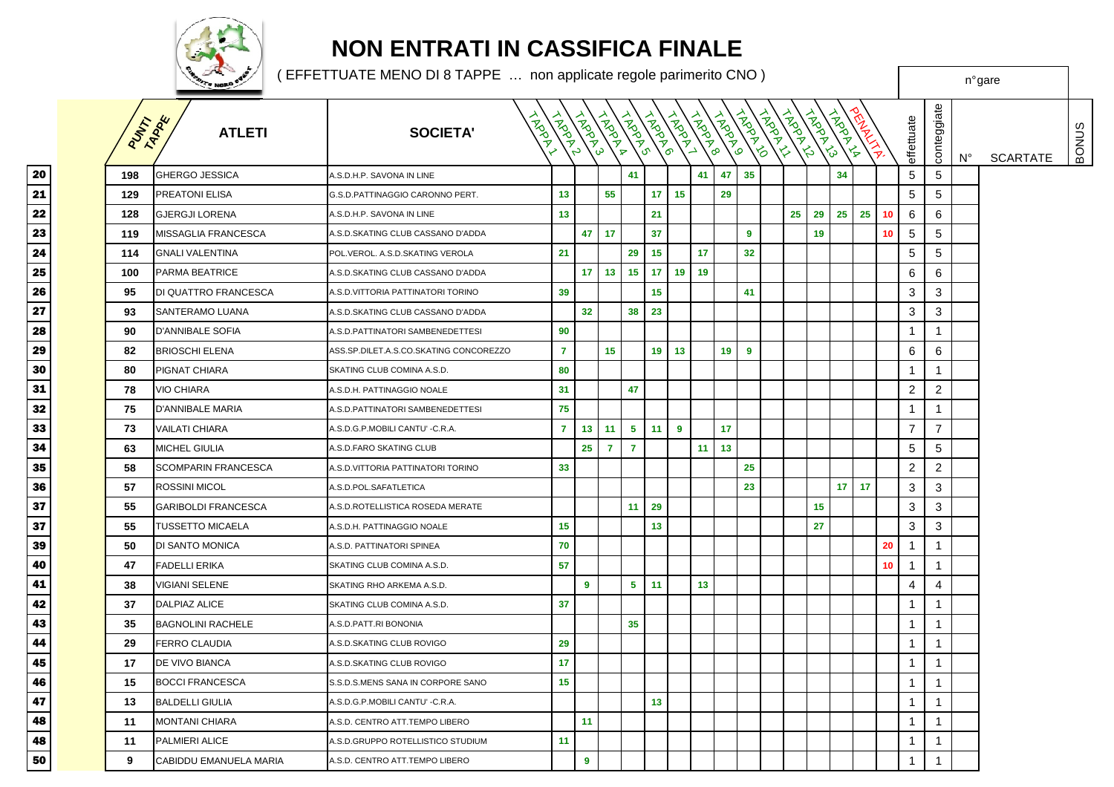

## **NON ENTRATI IN CASSIFICA FINALE**

<sup>n</sup>° gare

( EFFETTUATE MENO DI 8 TAPPE … non applicate regole parimerito CNO )

|                                | PUMT | TAPPE<br><b>ATLETI</b>     | <b>HARAN</b><br><b>SOCIETA'</b>        | <b>TARRAY</b>  | TANDAY S        | <b>TARRAY</b>   | LANDON         | <b>HARRY</b>    | ARBAYL | <b>TARDAY</b> | <b>HARANTO</b>  | TROPING | <b>TROOP</b> | <b>PROPERTY</b> | LAPOLA<br>$\mathcal{L}_{\mathcal{P}}$ | <b>ADDER</b><br>$\frac{1}{\sqrt{2}}$ |    |                 | effettuate     | conteggiate    | N° | <b>SCARTATE</b> | BONUS |
|--------------------------------|------|----------------------------|----------------------------------------|----------------|-----------------|-----------------|----------------|-----------------|--------|---------------|-----------------|---------|--------------|-----------------|---------------------------------------|--------------------------------------|----|-----------------|----------------|----------------|----|-----------------|-------|
| 0                              | 198  | <b>GHERGO JESSICA</b>      | A.S.D.H.P. SAVONA IN LINE              |                |                 |                 | 41             |                 |        | 41            | 47              | 35      |              |                 |                                       | 34                                   |    |                 | 5              | 5              |    |                 |       |
| $\frac{1}{2}$ $\frac{2}{3}$    | 129  | PREATONI ELISA             | G.S.D.PATTINAGGIO CARONNO PERT.        | 13             |                 | 55              |                | 17 <sup>2</sup> | 15     |               | 29              |         |              |                 |                                       |                                      |    |                 | 5              | 5              |    |                 |       |
|                                | 128  | <b>GJERGJI LORENA</b>      | A.S.D.H.P. SAVONA IN LINE              | 13             |                 |                 |                | 21              |        |               |                 |         |              | 25              | 29                                    | 25                                   | 25 | 10              | 6              | 6              |    |                 |       |
|                                | 119  | MISSAGLIA FRANCESCA        | A.S.D.SKATING CLUB CASSANO D'ADDA      |                |                 | $47$ 17         |                | 37              |        |               |                 | 9       |              |                 | 19                                    |                                      |    | 10 <sub>1</sub> | 5              | 5              |    |                 |       |
| $\frac{1}{4}$                  | 114  | <b>GNALI VALENTINA</b>     | POL.VEROL. A.S.D.SKATING VEROLA        | 21             |                 |                 | 29             | 15              |        | 17            |                 | 32      |              |                 |                                       |                                      |    |                 | 5              | 5              |    |                 |       |
| 5                              | 100  | PARMA BEATRICE             | A.S.D.SKATING CLUB CASSANO D'ADDA      |                | 17 <sup>1</sup> | 13              | 15             | 17 <sub>2</sub> | 19     | 19            |                 |         |              |                 |                                       |                                      |    |                 | 6              | 6              |    |                 |       |
| $\overline{\phantom{0}}$       | 95   | DI QUATTRO FRANCESCA       | A.S.D.VITTORIA PATTINATORI TORINO      | 39             |                 |                 |                | 15              |        |               |                 | 41      |              |                 |                                       |                                      |    |                 | 3              | 3              |    |                 |       |
| 7                              | 93   | <b>SANTERAMO LUANA</b>     | A.S.D.SKATING CLUB CASSANO D'ADDA      |                | 32              |                 | 38             | 23              |        |               |                 |         |              |                 |                                       |                                      |    |                 | 3              | 3              |    |                 |       |
|                                | 90   | <b>D'ANNIBALE SOFIA</b>    | A.S.D.PATTINATORI SAMBENEDETTESI       | 90             |                 |                 |                |                 |        |               |                 |         |              |                 |                                       |                                      |    |                 | $\mathbf{1}$   | $\mathbf 1$    |    |                 |       |
| 5                              | 82   | <b>BRIOSCHI ELENA</b>      | ASS.SP.DILET.A.S.CO.SKATING CONCOREZZO | $\overline{7}$ |                 | 15 <sub>1</sub> |                | 19 <sup>1</sup> | 13     |               | 19 <sub>1</sub> | 9       |              |                 |                                       |                                      |    |                 | 6              | 6              |    |                 |       |
| $\overline{\bullet}$           | 80   | PIGNAT CHIARA              | SKATING CLUB COMINA A.S.D.             | 80             |                 |                 |                |                 |        |               |                 |         |              |                 |                                       |                                      |    |                 | $\mathbf{1}$   | $\mathbf{1}$   |    |                 |       |
| $\frac{1}{2}$<br>$\frac{2}{3}$ | 78   | <b>VIO CHIARA</b>          | A.S.D.H. PATTINAGGIO NOALE             | 31             |                 |                 | 47             |                 |        |               |                 |         |              |                 |                                       |                                      |    |                 | $\overline{2}$ | 2              |    |                 |       |
|                                | 75   | D'ANNIBALE MARIA           | 4.S.D.PATTINATORI SAMBENEDETTESI       | 75             |                 |                 |                |                 |        |               |                 |         |              |                 |                                       |                                      |    |                 | $\mathbf{1}$   | $\overline{1}$ |    |                 |       |
|                                | 73   | <b>VAILATI CHIARA</b>      | A.S.D.G.P.MOBILI CANTU' - C.R.A.       | $\mathbf{7}$   |                 | $13 \quad 11$   | 5              | 11 <sub>1</sub> | 9      |               | 17              |         |              |                 |                                       |                                      |    |                 | $\overline{7}$ | $\overline{7}$ |    |                 |       |
| $\overline{4}$                 | 63   | MICHEL GIULIA              | A.S.D.FARO SKATING CLUB                |                | 25 <sub>2</sub> | $\overline{7}$  | $\overline{7}$ |                 |        | 11            | 13              |         |              |                 |                                       |                                      |    |                 | 5              | 5              |    |                 |       |
| 5                              | 58   | <b>SCOMPARIN FRANCESCA</b> | A.S.D.VITTORIA PATTINATORI TORINO      | 33             |                 |                 |                |                 |        |               |                 | 25      |              |                 |                                       |                                      |    |                 | 2              | 2              |    |                 |       |
| $\overline{\phantom{0}}$       | 57   | ROSSINI MICOL              | A.S.D.POL.SAFATLETICA                  |                |                 |                 |                |                 |        |               |                 | 23      |              |                 |                                       | 17 <sup>1</sup><br>17                |    |                 | 3              | 3              |    |                 |       |
| 7                              | 55   | <b>GARIBOLDI FRANCESCA</b> | A.S.D.ROTELLISTICA ROSEDA MERATE       |                |                 |                 | 11             | 29              |        |               |                 |         |              |                 | 15                                    |                                      |    |                 | 3              | 3              |    |                 |       |
| 7                              | 55   | <b>TUSSETTO MICAELA</b>    | A.S.D.H. PATTINAGGIO NOALE             | 15             |                 |                 |                | 13              |        |               |                 |         |              |                 | 27                                    |                                      |    |                 | 3              | 3              |    |                 |       |
| 9                              | 50   | DI SANTO MONICA            | A.S.D. PATTINATORI SPINEA              | 70             |                 |                 |                |                 |        |               |                 |         |              |                 |                                       |                                      |    | 20              | $\overline{1}$ | $\mathbf 1$    |    |                 |       |
| 0                              | 47   | <b>FADELLI ERIKA</b>       | SKATING CLUB COMINA A.S.D.             | 57             |                 |                 |                |                 |        |               |                 |         |              |                 |                                       |                                      |    | 10              | $\overline{1}$ | $\mathbf{1}$   |    |                 |       |
|                                | 38   | <b>VIGIANI SELENE</b>      | SKATING RHO ARKEMA A.S.D.              |                | 9               |                 | 5 <sup>1</sup> | 11              |        | 13            |                 |         |              |                 |                                       |                                      |    |                 | 4              | $\overline{4}$ |    |                 |       |
| $\frac{1}{2}$<br>$\frac{2}{3}$ | 37   | <b>DALPIAZ ALICE</b>       | SKATING CLUB COMINA A.S.D.             | 37             |                 |                 |                |                 |        |               |                 |         |              |                 |                                       |                                      |    |                 | 1              | $\mathbf 1$    |    |                 |       |
|                                | 35   | <b>BAGNOLINI RACHELE</b>   | A.S.D.PATT.RI BONONIA                  |                |                 |                 | 35             |                 |        |               |                 |         |              |                 |                                       |                                      |    |                 | $\mathbf{1}$   | $\mathbf{1}$   |    |                 |       |
| 4                              | 29   | FERRO CLAUDIA              | A.S.D.SKATING CLUB ROVIGO              | 29             |                 |                 |                |                 |        |               |                 |         |              |                 |                                       |                                      |    |                 | $\mathbf{1}$   | $\mathbf{1}$   |    |                 |       |
| 5                              | 17   | DE VIVO BIANCA             | A.S.D.SKATING CLUB ROVIGO              | 17             |                 |                 |                |                 |        |               |                 |         |              |                 |                                       |                                      |    |                 | $\mathbf{1}$   | $\mathbf{1}$   |    |                 |       |
| $\frac{1}{6}$                  | 15   | <b>BOCCI FRANCESCA</b>     | S.S.D.S.MENS SANA IN CORPORE SANO      | 15             |                 |                 |                |                 |        |               |                 |         |              |                 |                                       |                                      |    |                 | 1              | $\mathbf 1$    |    |                 |       |
| 7                              | 13   | <b>BALDELLI GIULIA</b>     | A.S.D.G.P.MOBILI CANTU' -C.R.A.        |                |                 |                 |                | 13              |        |               |                 |         |              |                 |                                       |                                      |    |                 | 1              | $\mathbf{1}$   |    |                 |       |
|                                | 11   | <b>MONTANI CHIARA</b>      | A.S.D. CENTRO ATT.TEMPO LIBERO         |                | 11              |                 |                |                 |        |               |                 |         |              |                 |                                       |                                      |    |                 | $\mathbf{1}$   | $\mathbf 1$    |    |                 |       |
|                                | 11   | PALMIERI ALICE             | A.S.D.GRUPPO ROTELLISTICO STUDIUM      | 11             |                 |                 |                |                 |        |               |                 |         |              |                 |                                       |                                      |    |                 | $\mathbf{1}$   | $\mathbf{1}$   |    |                 |       |
| $\overline{\bullet}$           | 9    | CABIDDU EMANUELA MARIA     | A.S.D. CENTRO ATT.TEMPO LIBERO         |                | 9               |                 |                |                 |        |               |                 |         |              |                 |                                       |                                      |    |                 | $\mathbf{1}$   | $\mathbf{1}$   |    |                 |       |
|                                |      |                            |                                        |                |                 |                 |                |                 |        |               |                 |         |              |                 |                                       |                                      |    |                 |                |                |    |                 |       |